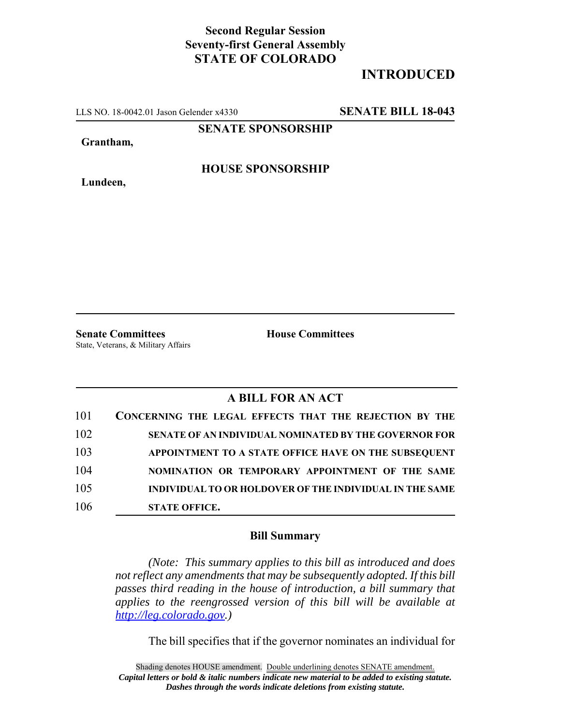## **Second Regular Session Seventy-first General Assembly STATE OF COLORADO**

## **INTRODUCED**

LLS NO. 18-0042.01 Jason Gelender x4330 **SENATE BILL 18-043**

**SENATE SPONSORSHIP**

**Grantham,**

**HOUSE SPONSORSHIP**

**Lundeen,**

**Senate Committees House Committees** State, Veterans, & Military Affairs

## **A BILL FOR AN ACT**

| 101 | CONCERNING THE LEGAL EFFECTS THAT THE REJECTION BY THE       |
|-----|--------------------------------------------------------------|
| 102 | <b>SENATE OF AN INDIVIDUAL NOMINATED BY THE GOVERNOR FOR</b> |
| 103 | APPOINTMENT TO A STATE OFFICE HAVE ON THE SUBSEQUENT         |
| 104 | NOMINATION OR TEMPORARY APPOINTMENT OF THE SAME              |
| 105 | INDIVIDUAL TO OR HOLDOVER OF THE INDIVIDUAL IN THE SAME      |
| 106 | <b>STATE OFFICE.</b>                                         |

## **Bill Summary**

*(Note: This summary applies to this bill as introduced and does not reflect any amendments that may be subsequently adopted. If this bill passes third reading in the house of introduction, a bill summary that applies to the reengrossed version of this bill will be available at http://leg.colorado.gov.)*

The bill specifies that if the governor nominates an individual for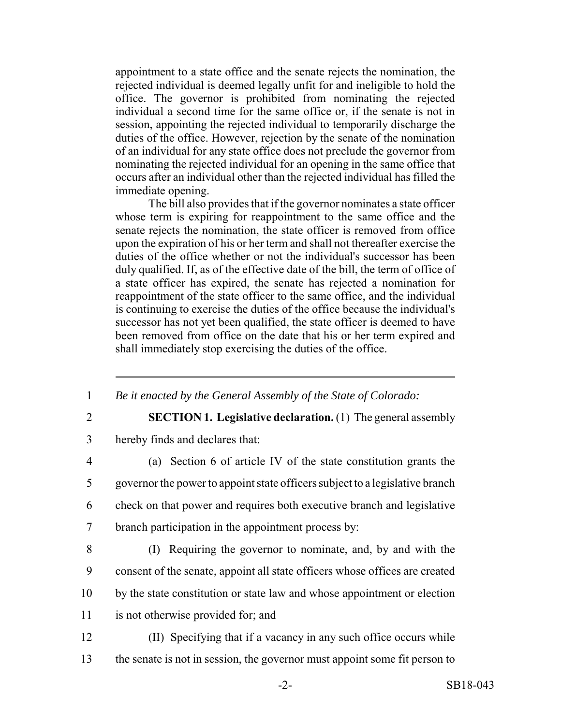appointment to a state office and the senate rejects the nomination, the rejected individual is deemed legally unfit for and ineligible to hold the office. The governor is prohibited from nominating the rejected individual a second time for the same office or, if the senate is not in session, appointing the rejected individual to temporarily discharge the duties of the office. However, rejection by the senate of the nomination of an individual for any state office does not preclude the governor from nominating the rejected individual for an opening in the same office that occurs after an individual other than the rejected individual has filled the immediate opening.

The bill also provides that if the governor nominates a state officer whose term is expiring for reappointment to the same office and the senate rejects the nomination, the state officer is removed from office upon the expiration of his or her term and shall not thereafter exercise the duties of the office whether or not the individual's successor has been duly qualified. If, as of the effective date of the bill, the term of office of a state officer has expired, the senate has rejected a nomination for reappointment of the state officer to the same office, and the individual is continuing to exercise the duties of the office because the individual's successor has not yet been qualified, the state officer is deemed to have been removed from office on the date that his or her term expired and shall immediately stop exercising the duties of the office.

- 1 *Be it enacted by the General Assembly of the State of Colorado:*
- 

2 **SECTION 1. Legislative declaration.** (1) The general assembly

3 hereby finds and declares that:

- 4 (a) Section 6 of article IV of the state constitution grants the 5 governor the power to appoint state officers subject to a legislative branch 6 check on that power and requires both executive branch and legislative 7 branch participation in the appointment process by:
- 

8 (I) Requiring the governor to nominate, and, by and with the 9 consent of the senate, appoint all state officers whose offices are created 10 by the state constitution or state law and whose appointment or election

- 11 is not otherwise provided for; and
- 12 (II) Specifying that if a vacancy in any such office occurs while
- 13 the senate is not in session, the governor must appoint some fit person to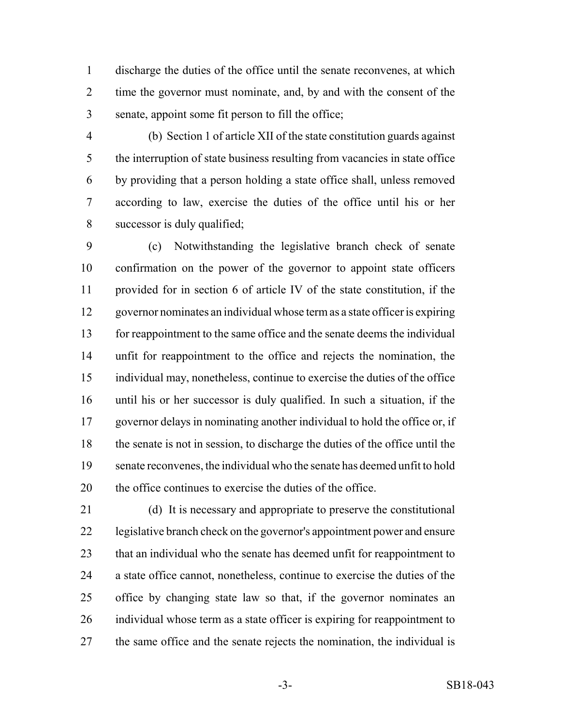discharge the duties of the office until the senate reconvenes, at which time the governor must nominate, and, by and with the consent of the senate, appoint some fit person to fill the office;

 (b) Section 1 of article XII of the state constitution guards against the interruption of state business resulting from vacancies in state office by providing that a person holding a state office shall, unless removed according to law, exercise the duties of the office until his or her successor is duly qualified;

 (c) Notwithstanding the legislative branch check of senate confirmation on the power of the governor to appoint state officers provided for in section 6 of article IV of the state constitution, if the governor nominates an individual whose term as a state officer is expiring for reappointment to the same office and the senate deems the individual unfit for reappointment to the office and rejects the nomination, the individual may, nonetheless, continue to exercise the duties of the office until his or her successor is duly qualified. In such a situation, if the governor delays in nominating another individual to hold the office or, if the senate is not in session, to discharge the duties of the office until the senate reconvenes, the individual who the senate has deemed unfit to hold the office continues to exercise the duties of the office.

 (d) It is necessary and appropriate to preserve the constitutional legislative branch check on the governor's appointment power and ensure 23 that an individual who the senate has deemed unfit for reappointment to a state office cannot, nonetheless, continue to exercise the duties of the office by changing state law so that, if the governor nominates an individual whose term as a state officer is expiring for reappointment to the same office and the senate rejects the nomination, the individual is

-3- SB18-043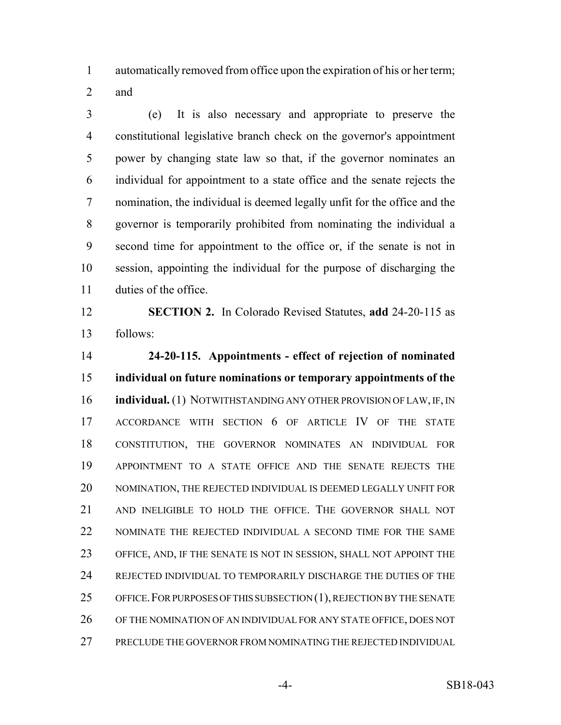automatically removed from office upon the expiration of his or her term;

and

 (e) It is also necessary and appropriate to preserve the constitutional legislative branch check on the governor's appointment power by changing state law so that, if the governor nominates an individual for appointment to a state office and the senate rejects the nomination, the individual is deemed legally unfit for the office and the governor is temporarily prohibited from nominating the individual a second time for appointment to the office or, if the senate is not in session, appointing the individual for the purpose of discharging the duties of the office.

 **SECTION 2.** In Colorado Revised Statutes, **add** 24-20-115 as follows:

 **24-20-115. Appointments - effect of rejection of nominated individual on future nominations or temporary appointments of the individual.** (1) NOTWITHSTANDING ANY OTHER PROVISION OF LAW, IF, IN ACCORDANCE WITH SECTION 6 OF ARTICLE IV OF THE STATE CONSTITUTION, THE GOVERNOR NOMINATES AN INDIVIDUAL FOR APPOINTMENT TO A STATE OFFICE AND THE SENATE REJECTS THE NOMINATION, THE REJECTED INDIVIDUAL IS DEEMED LEGALLY UNFIT FOR AND INELIGIBLE TO HOLD THE OFFICE. THE GOVERNOR SHALL NOT NOMINATE THE REJECTED INDIVIDUAL A SECOND TIME FOR THE SAME OFFICE, AND, IF THE SENATE IS NOT IN SESSION, SHALL NOT APPOINT THE REJECTED INDIVIDUAL TO TEMPORARILY DISCHARGE THE DUTIES OF THE OFFICE.FOR PURPOSES OF THIS SUBSECTION (1), REJECTION BY THE SENATE OF THE NOMINATION OF AN INDIVIDUAL FOR ANY STATE OFFICE, DOES NOT PRECLUDE THE GOVERNOR FROM NOMINATING THE REJECTED INDIVIDUAL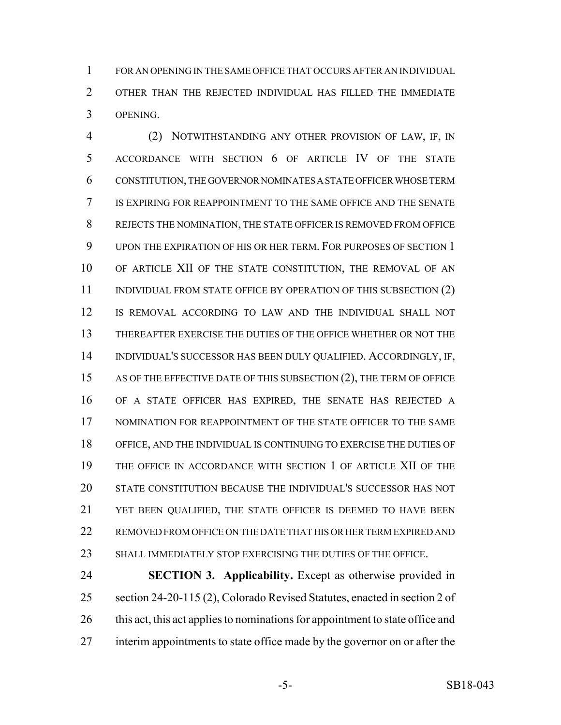FOR AN OPENING IN THE SAME OFFICE THAT OCCURS AFTER AN INDIVIDUAL OTHER THAN THE REJECTED INDIVIDUAL HAS FILLED THE IMMEDIATE OPENING.

 (2) NOTWITHSTANDING ANY OTHER PROVISION OF LAW, IF, IN ACCORDANCE WITH SECTION 6 OF ARTICLE IV OF THE STATE CONSTITUTION, THE GOVERNOR NOMINATES A STATE OFFICER WHOSE TERM IS EXPIRING FOR REAPPOINTMENT TO THE SAME OFFICE AND THE SENATE REJECTS THE NOMINATION, THE STATE OFFICER IS REMOVED FROM OFFICE UPON THE EXPIRATION OF HIS OR HER TERM. FOR PURPOSES OF SECTION 1 OF ARTICLE XII OF THE STATE CONSTITUTION, THE REMOVAL OF AN 11 INDIVIDUAL FROM STATE OFFICE BY OPERATION OF THIS SUBSECTION (2) IS REMOVAL ACCORDING TO LAW AND THE INDIVIDUAL SHALL NOT THEREAFTER EXERCISE THE DUTIES OF THE OFFICE WHETHER OR NOT THE INDIVIDUAL'S SUCCESSOR HAS BEEN DULY QUALIFIED. ACCORDINGLY, IF, AS OF THE EFFECTIVE DATE OF THIS SUBSECTION (2), THE TERM OF OFFICE OF A STATE OFFICER HAS EXPIRED, THE SENATE HAS REJECTED A 17 NOMINATION FOR REAPPOINTMENT OF THE STATE OFFICER TO THE SAME OFFICE, AND THE INDIVIDUAL IS CONTINUING TO EXERCISE THE DUTIES OF THE OFFICE IN ACCORDANCE WITH SECTION 1 OF ARTICLE XII OF THE STATE CONSTITUTION BECAUSE THE INDIVIDUAL'S SUCCESSOR HAS NOT YET BEEN QUALIFIED, THE STATE OFFICER IS DEEMED TO HAVE BEEN REMOVED FROM OFFICE ON THE DATE THAT HIS OR HER TERM EXPIRED AND SHALL IMMEDIATELY STOP EXERCISING THE DUTIES OF THE OFFICE.

 **SECTION 3. Applicability.** Except as otherwise provided in section 24-20-115 (2), Colorado Revised Statutes, enacted in section 2 of 26 this act, this act applies to nominations for appointment to state office and interim appointments to state office made by the governor on or after the